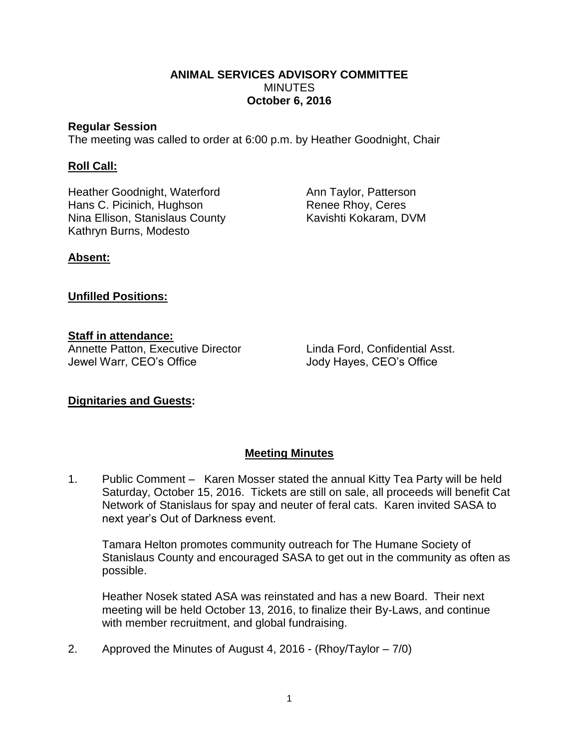### **ANIMAL SERVICES ADVISORY COMMITTEE MINUTES October 6, 2016**

#### **Regular Session**

The meeting was called to order at 6:00 p.m. by Heather Goodnight, Chair

### **Roll Call:**

Heather Goodnight, Waterford **Ann Taylor, Patterson** Hans C. Picinich, Hughson Renee Rhoy, Ceres Nina Ellison, Stanislaus County **Kavishti Kokaram, DVM** Kathryn Burns, Modesto

# **Absent:**

## **Unfilled Positions:**

# **Staff in attendance:**

Annette Patton, Executive Director Linda Ford, Confidential Asst. Jewel Warr, CEO's Office Jody Hayes, CEO's Office

# **Dignitaries and Guests:**

# **Meeting Minutes**

1. Public Comment – Karen Mosser stated the annual Kitty Tea Party will be held Saturday, October 15, 2016. Tickets are still on sale, all proceeds will benefit Cat Network of Stanislaus for spay and neuter of feral cats. Karen invited SASA to next year's Out of Darkness event.

Tamara Helton promotes community outreach for The Humane Society of Stanislaus County and encouraged SASA to get out in the community as often as possible.

Heather Nosek stated ASA was reinstated and has a new Board. Their next meeting will be held October 13, 2016, to finalize their By-Laws, and continue with member recruitment, and global fundraising.

2. Approved the Minutes of August 4, 2016 - (Rhoy/Taylor – 7/0)